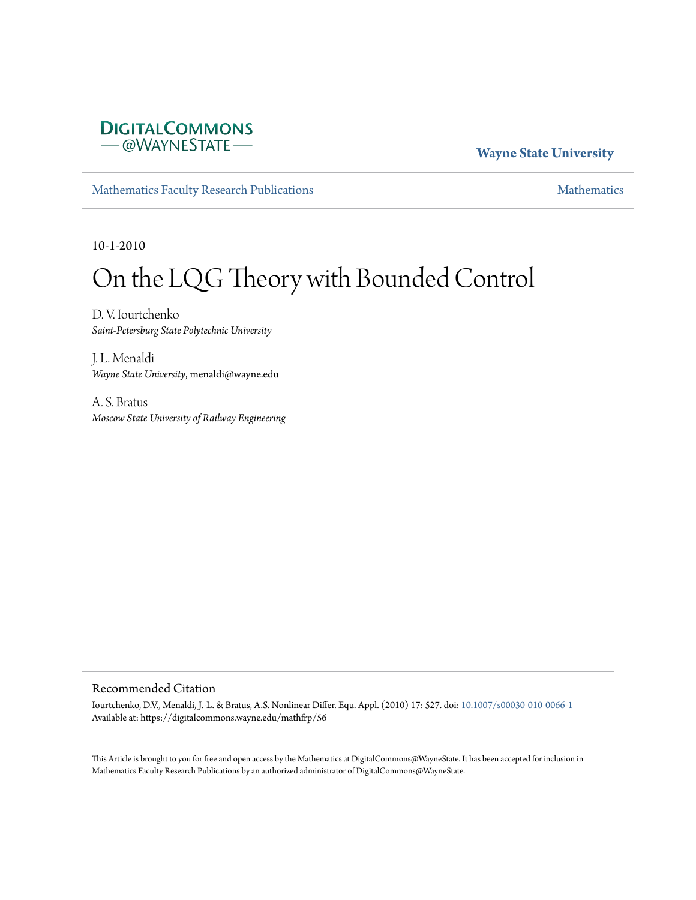## **DIGITALCOMMONS** -@WAYNESTATE-

### **Wayne State University**

[Mathematics Faculty Research Publications](https://digitalcommons.wayne.edu/mathfrp) **[Mathematics](https://digitalcommons.wayne.edu/math)** Mathematics

10-1-2010

# On the LQG Theory with Bounded Control

D. V. Iourtchenko *Saint-Petersburg State Polytechnic University*

J. L. Menaldi *Wayne State University*, menaldi@wayne.edu

A. S. Bratus *Moscow State University of Railway Engineering*

#### Recommended Citation

Iourtchenko, D.V., Menaldi, J.-L. & Bratus, A.S. Nonlinear Differ. Equ. Appl. (2010) 17: 527. doi: [10.1007/s00030-010-0066-1](https://dx.doi.org/10.1007/s00030-010-0066-1) Available at: https://digitalcommons.wayne.edu/mathfrp/56

This Article is brought to you for free and open access by the Mathematics at DigitalCommons@WayneState. It has been accepted for inclusion in Mathematics Faculty Research Publications by an authorized administrator of DigitalCommons@WayneState.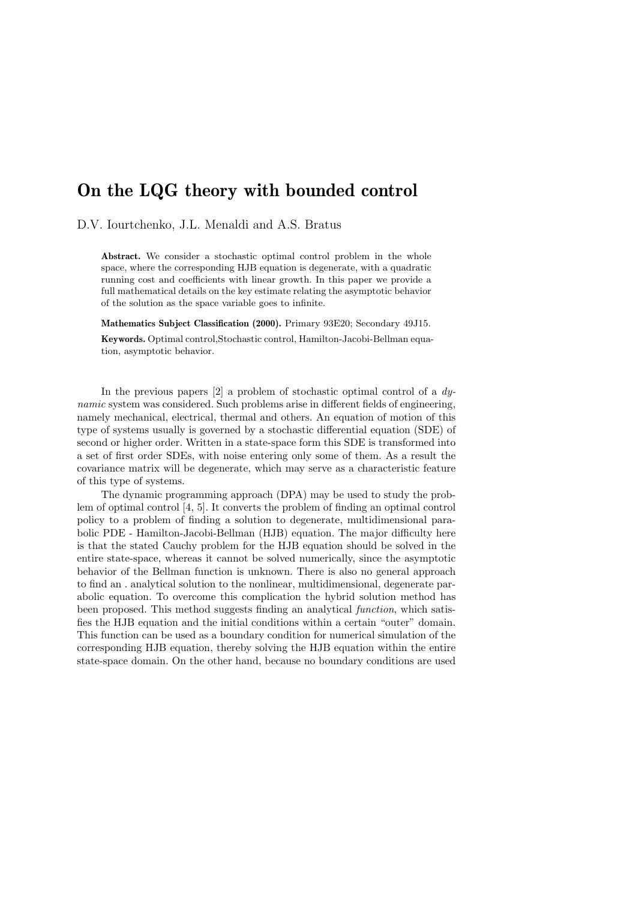# On the LQG theory with bounded control

D.V. Iourtchenko, J.L. Menaldi and A.S. Bratus

Abstract. We consider a stochastic optimal control problem in the whole space, where the corresponding HJB equation is degenerate, with a quadratic running cost and coefficients with linear growth. In this paper we provide a full mathematical details on the key estimate relating the asymptotic behavior of the solution as the space variable goes to infinite.

Mathematics Subject Classification (2000). Primary 93E20; Secondary 49J15. Keywords. Optimal control,Stochastic control, Hamilton-Jacobi-Bellman equation, asymptotic behavior.

In the previous papers  $[2]$  a problem of stochastic optimal control of a dynamic system was considered. Such problems arise in different fields of engineering, namely mechanical, electrical, thermal and others. An equation of motion of this type of systems usually is governed by a stochastic differential equation (SDE) of second or higher order. Written in a state-space form this SDE is transformed into a set of first order SDEs, with noise entering only some of them. As a result the covariance matrix will be degenerate, which may serve as a characteristic feature of this type of systems.

The dynamic programming approach (DPA) may be used to study the problem of optimal control [4, 5]. It converts the problem of finding an optimal control policy to a problem of finding a solution to degenerate, multidimensional parabolic PDE - Hamilton-Jacobi-Bellman (HJB) equation. The major difficulty here is that the stated Cauchy problem for the HJB equation should be solved in the entire state-space, whereas it cannot be solved numerically, since the asymptotic behavior of the Bellman function is unknown. There is also no general approach to find an . analytical solution to the nonlinear, multidimensional, degenerate parabolic equation. To overcome this complication the hybrid solution method has been proposed. This method suggests finding an analytical *function*, which satisfies the HJB equation and the initial conditions within a certain "outer" domain. This function can be used as a boundary condition for numerical simulation of the corresponding HJB equation, thereby solving the HJB equation within the entire state-space domain. On the other hand, because no boundary conditions are used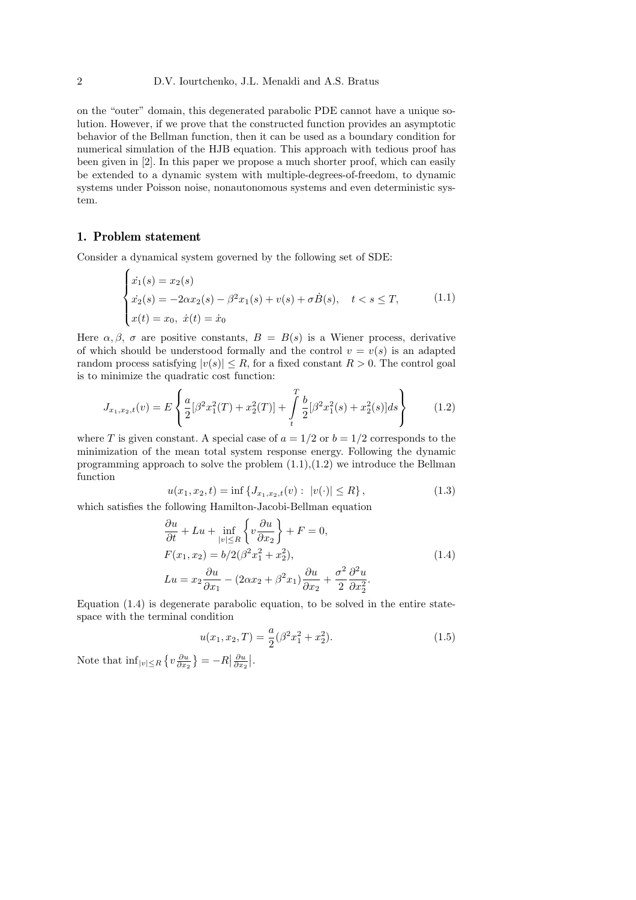on the "outer" domain, this degenerated parabolic PDE cannot have a unique solution. However, if we prove that the constructed function provides an asymptotic behavior of the Bellman function, then it can be used as a boundary condition for numerical simulation of the HJB equation. This approach with tedious proof has been given in [2]. In this paper we propose a much shorter proof, which can easily be extended to a dynamic system with multiple-degrees-of-freedom, to dynamic systems under Poisson noise, nonautonomous systems and even deterministic system.

#### 1. Problem statement

Consider a dynamical system governed by the following set of SDE: Ĭ,

$$
\begin{cases}\n\dot{x}_1(s) = x_2(s) \\
\dot{x}_2(s) = -2\alpha x_2(s) - \beta^2 x_1(s) + v(s) + \sigma \dot{B}(s), \quad t < s \le T, \\
x(t) = x_0, \quad \dot{x}(t) = \dot{x}_0\n\end{cases} \tag{1.1}
$$

Here  $\alpha, \beta, \sigma$  are positive constants,  $B = B(s)$  is a Wiener process, derivative of which should be understood formally and the control  $v = v(s)$  is an adapted random process satisfying  $|v(s)| \leq R$ , for a fixed constant  $R > 0$ . The control goal is to minimize the quadratic cost function:  $\overline{a}$  $\mathbf{r}$ 

$$
J_{x_1,x_2,t}(v) = E\left\{\frac{a}{2}[\beta^2 x_1^2(T) + x_2^2(T)] + \int_t^T \frac{b}{2}[\beta^2 x_1^2(s) + x_2^2(s)]ds\right\}
$$
(1.2)

where T is given constant. A special case of  $a = 1/2$  or  $b = 1/2$  corresponds to the minimization of the mean total system response energy. Following the dynamic programming approach to solve the problem  $(1.1),(1.2)$  we introduce the Bellman function

$$
u(x_1, x_2, t) = \inf \{ J_{x_1, x_2, t}(v) : |v(\cdot)| \le R \},
$$
\n(1.3)

which satisfies the following Hamilton-Jacobi-Bellman equation  $\frac{1}{\sqrt{2}}$ 

$$
\frac{\partial u}{\partial t} + Lu + \inf_{|v| \le R} \left\{ v \frac{\partial u}{\partial x_2} \right\} + F = 0,
$$
  
\n
$$
F(x_1, x_2) = b/2(\beta^2 x_1^2 + x_2^2),
$$
  
\n
$$
Lu = x_2 \frac{\partial u}{\partial x_1} - (2\alpha x_2 + \beta^2 x_1) \frac{\partial u}{\partial x_2} + \frac{\sigma^2}{2} \frac{\partial^2 u}{\partial x_2^2}.
$$
\n(1.4)

Equation (1.4) is degenerate parabolic equation, to be solved in the entire statespace with the terminal condition

$$
u(x_1, x_2, T) = \frac{a}{2}(\beta^2 x_1^2 + x_2^2).
$$
 (1.5)

Note that  $\inf_{|v| \leq R}$ ©  $v\frac{\partial u}{\partial x_2}$ ª  $=-R$  $\left| \frac{\partial u}{\partial x_2} \right|$  $\vert$ .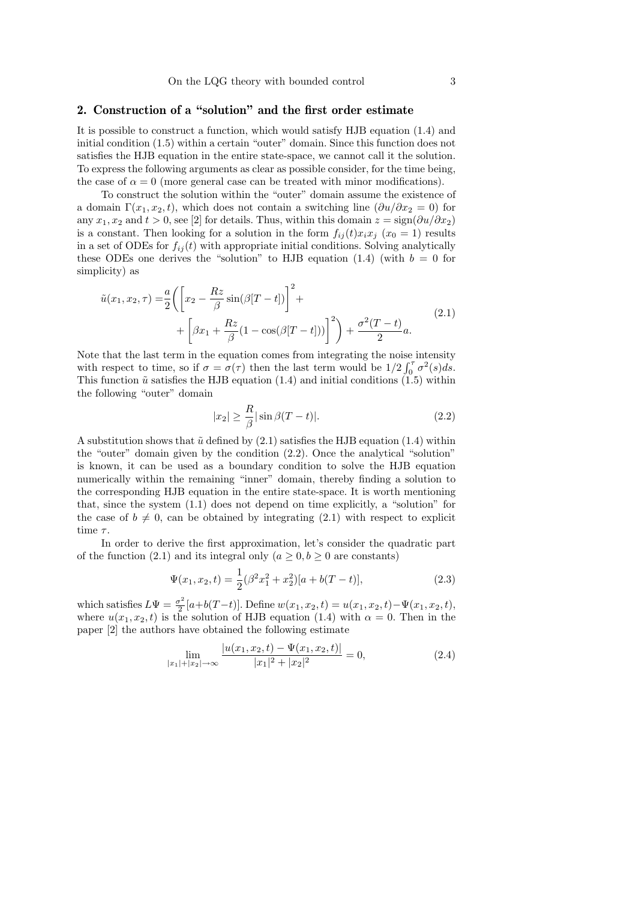#### 2. Construction of a "solution" and the first order estimate

It is possible to construct a function, which would satisfy HJB equation (1.4) and initial condition (1.5) within a certain "outer" domain. Since this function does not satisfies the HJB equation in the entire state-space, we cannot call it the solution. To express the following arguments as clear as possible consider, for the time being, the case of  $\alpha = 0$  (more general case can be treated with minor modifications).

To construct the solution within the "outer" domain assume the existence of a domain  $\Gamma(x_1, x_2, t)$ , which does not contain a switching line  $(\partial u/\partial x_2 = 0)$  for any  $x_1, x_2$  and  $t > 0$ , see [2] for details. Thus, within this domain  $z = \text{sign}(\partial u / \partial x_2)$ is a constant. Then looking for a solution in the form  $f_{ij}(t)x_ix_j$  ( $x_0 = 1$ ) results in a set of ODEs for  $f_{ij}(t)$  with appropriate initial conditions. Solving analytically these ODEs one derives the "solution" to HJB equation (1.4) (with  $b = 0$  for simplicity) as

$$
\tilde{u}(x_1, x_2, \tau) = \frac{a}{2} \left( \left[ x_2 - \frac{Rz}{\beta} \sin(\beta[T - t]) \right]^2 + \right. \\
\left. + \left[ \beta x_1 + \frac{Rz}{\beta} (1 - \cos(\beta[T - t])) \right]^2 \right) + \frac{\sigma^2 (T - t)}{2} a.
$$
\n(2.1)

Note that the last term in the equation comes from integrating the noise intensity with respect to time, so if  $\sigma = \sigma(\tau)$  then the last term would be  $1/2 \int_0^{\tau} \sigma^2(s) ds$ . This function  $\tilde{u}$  satisfies the HJB equation (1.4) and initial conditions (1.5) within the following "outer" domain

$$
|x_2| \ge \frac{R}{\beta} |\sin \beta (T - t)|. \tag{2.2}
$$

A substitution shows that  $\tilde{u}$  defined by (2.1) satisfies the HJB equation (1.4) within the "outer" domain given by the condition (2.2). Once the analytical "solution" is known, it can be used as a boundary condition to solve the HJB equation numerically within the remaining "inner" domain, thereby finding a solution to the corresponding HJB equation in the entire state-space. It is worth mentioning that, since the system (1.1) does not depend on time explicitly, a "solution" for the case of  $b \neq 0$ , can be obtained by integrating (2.1) with respect to explicit time  $\tau$ .

In order to derive the first approximation, let's consider the quadratic part of the function (2.1) and its integral only  $(a \geq 0, b \geq 0$  are constants)

$$
\Psi(x_1, x_2, t) = \frac{1}{2} (\beta^2 x_1^2 + x_2^2) [a + b(T - t)], \qquad (2.3)
$$

which satisfies  $L\Psi = \frac{\sigma^2}{2}$  $\frac{x^2}{2}[a+b(T-t)]$ . Define  $w(x_1, x_2, t) = u(x_1, x_2, t) - \Psi(x_1, x_2, t)$ , where  $u(x_1, x_2, t)$  is the solution of HJB equation (1.4) with  $\alpha = 0$ . Then in the paper [2] the authors have obtained the following estimate

$$
\lim_{|x_1|+|x_2| \to \infty} \frac{|u(x_1, x_2, t) - \Psi(x_1, x_2, t)|}{|x_1|^2 + |x_2|^2} = 0,
$$
\n(2.4)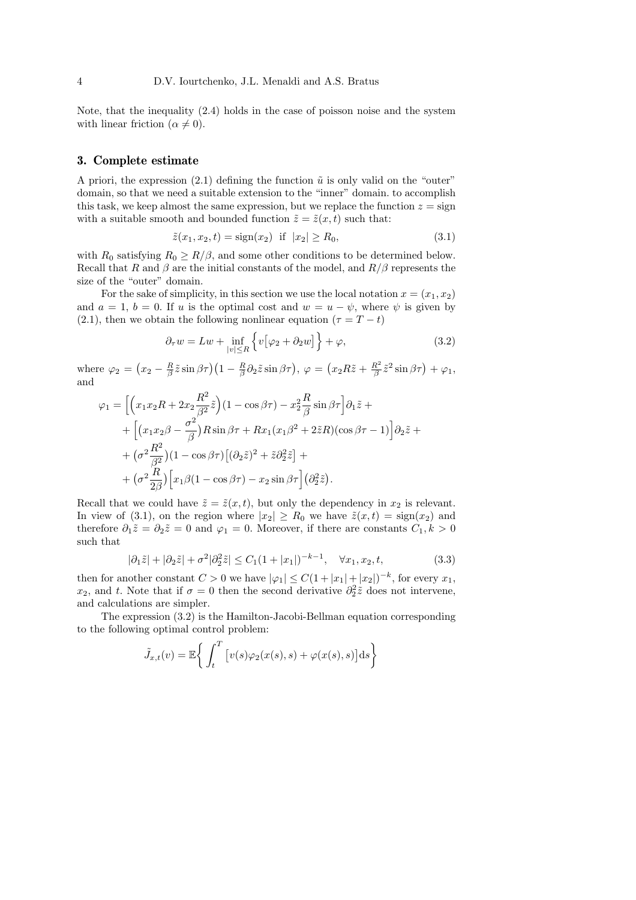Note, that the inequality (2.4) holds in the case of poisson noise and the system with linear friction ( $\alpha \neq 0$ ).

#### 3. Complete estimate

A priori, the expression (2.1) defining the function  $\tilde{u}$  is only valid on the "outer" domain, so that we need a suitable extension to the "inner" domain. to accomplish this task, we keep almost the same expression, but we replace the function  $z = \text{sign}$ with a suitable smooth and bounded function  $\tilde{z} = \tilde{z}(x, t)$  such that:

$$
\tilde{z}(x_1, x_2, t) = sign(x_2)
$$
 if  $|x_2| \ge R_0$ , (3.1)

with  $R_0$  satisfying  $R_0 \ge R/\beta$ , and some other conditions to be determined below. Recall that R and  $\beta$  are the initial constants of the model, and  $R/\beta$  represents the size of the "outer" domain.

For the sake of simplicity, in this section we use the local notation  $x = (x_1, x_2)$ and  $a = 1$ ,  $b = 0$ . If u is the optimal cost and  $w = u - \psi$ , where  $\psi$  is given by (2.1), then we obtain the following nonlinear equation ( $\tau = T - t$ )

$$
\partial_{\tau} w = Lw + \inf_{|v| \le R} \left\{ v \left[ \varphi_2 + \partial_2 w \right] \right\} + \varphi, \tag{3.2}
$$

where  $\varphi_2 =$ ¡  $x_2 - \frac{R}{\beta}\tilde{z}\sin\beta\tau (1 - \frac{R}{\beta}\partial_2\tilde{z}\sin\beta\tau), \varphi =$ ¡  $x_2R\tilde{z}+\frac{R^2}{\beta}$  $\frac{R^2}{\beta}\tilde{z}^2\sin\beta\tau$  +  $\varphi_1$ , and

$$
\varphi_1 = \left[ \left( x_1 x_2 R + 2 x_2 \frac{R^2}{\beta^2} \tilde{z} \right) (1 - \cos \beta \tau) - x_2^2 \frac{R}{\beta} \sin \beta \tau \right] \partial_1 \tilde{z} +
$$
  
+ 
$$
\left[ \left( x_1 x_2 \beta - \frac{\sigma^2}{\beta} \right) R \sin \beta \tau + R x_1 (x_1 \beta^2 + 2 \tilde{z} R) (\cos \beta \tau - 1) \right] \partial_2 \tilde{z} +
$$
  
+ 
$$
(\sigma^2 \frac{R^2}{\beta^2}) (1 - \cos \beta \tau) \left[ (\partial_2 \tilde{z})^2 + \tilde{z} \partial_2^2 \tilde{z} \right] +
$$
  
+ 
$$
(\sigma^2 \frac{R}{2\beta}) \left[ x_1 \beta (1 - \cos \beta \tau) - x_2 \sin \beta \tau \right] (\partial_2^2 \tilde{z}).
$$

Recall that we could have  $\tilde{z} = \tilde{z}(x, t)$ , but only the dependency in  $x_2$  is relevant. In view of (3.1), on the region where  $|x_2| \ge R_0$  we have  $\tilde{z}(x,t) = \text{sign}(x_2)$  and therefore  $\partial_1 \tilde{z} = \partial_2 \tilde{z} = 0$  and  $\varphi_1 = 0$ . Moreover, if there are constants  $C_1, k > 0$ such that

$$
|\partial_1 \tilde{z}| + |\partial_2 \tilde{z}| + \sigma^2 |\partial_2^2 \tilde{z}| \le C_1 (1 + |x_1|)^{-k-1}, \quad \forall x_1, x_2, t,
$$
\n(3.3)

then for another constant  $C > 0$  we have  $|\varphi_1| \leq C(1+|x_1|+|x_2|)^{-k}$ , for every  $x_1$ ,  $x_2$ , and t. Note that if  $\sigma = 0$  then the second derivative  $\partial_2^2 \tilde{z}$  does not intervene, and calculations are simpler.

The expression (3.2) is the Hamilton-Jacobi-Bellman equation corresponding to the following optimal control problem:

$$
\tilde{J}_{x,t}(v) = \mathbb{E}\bigg\{\int_t^T \big[v(s)\varphi_2(x(s),s) + \varphi(x(s),s)\big]ds\bigg\}
$$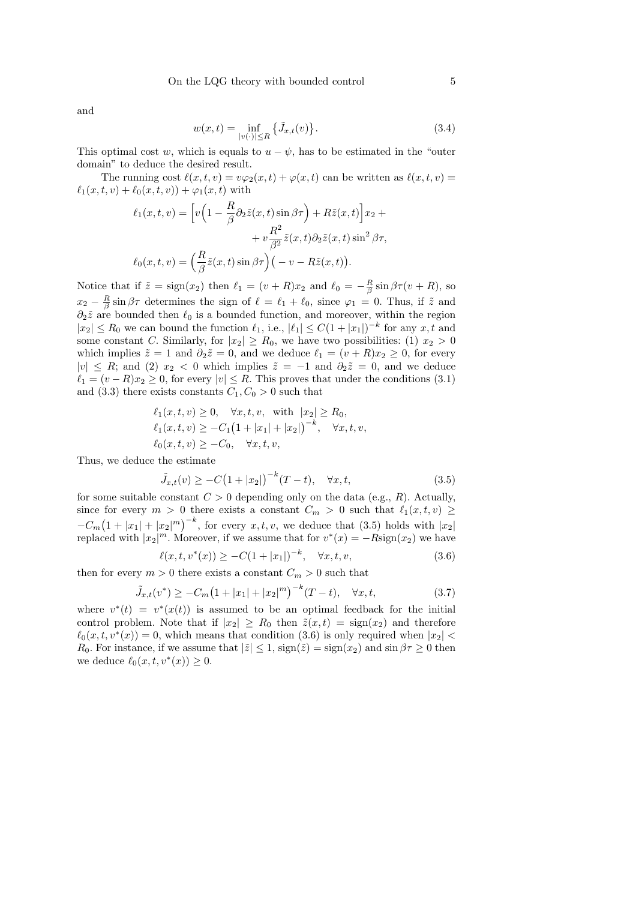and

$$
w(x,t) = \inf_{|v(\cdot)| \le R} \{ \tilde{J}_{x,t}(v) \}.
$$
 (3.4)

This optimal cost w, which is equals to  $u - \psi$ , has to be estimated in the "outer" domain" to deduce the desired result.

The running cost  $\ell(x, t, v) = v\varphi_2(x, t) + \varphi(x, t)$  can be written as  $\ell(x, t, v) =$  $\ell_1(x, t, v) + \ell_0(x, t, v) + \varphi_1(x, t)$  with

$$
\ell_1(x,t,v) = \left[ v \left( 1 - \frac{R}{\beta} \partial_2 \tilde{z}(x,t) \sin \beta \tau \right) + R \tilde{z}(x,t) \right] x_2 +
$$

$$
+ v \frac{R^2}{\beta^2} \tilde{z}(x,t) \partial_2 \tilde{z}(x,t) \sin^2 \beta \tau,
$$

$$
\ell_0(x,t,v) = \left( \frac{R}{\beta} \tilde{z}(x,t) \sin \beta \tau \right) \left( -v - R \tilde{z}(x,t) \right).
$$

Notice that if  $\tilde{z} = \text{sign}(x_2)$  then  $\ell_1 = (v + R)x_2$  and  $\ell_0 = -\frac{R}{\beta} \sin \beta \tau (v + R)$ , so  $x_2 - \frac{R}{\beta} \sin \beta \tau$  determines the sign of  $\ell = \ell_1 + \ell_0$ , since  $\varphi_1 = 0$ . Thus, if  $\tilde{z}$  and  $\partial_2 \tilde{z}$  are bounded then  $\ell_0$  is a bounded function, and moreover, within the region  $|x_2| \le R_0$  we can bound the function  $\ell_1$ , i.e.,  $|\ell_1| \le C(1+|x_1|)^{-k}$  for any  $x, t$  and some constant C. Similarly, for  $|x_2| \ge R_0$ , we have two possibilities: (1)  $x_2 > 0$ which implies  $\tilde{z} = 1$  and  $\partial_2 \tilde{z} = 0$ , and we deduce  $\ell_1 = (v + R)x_2 \geq 0$ , for every  $|v| \leq R$ ; and (2)  $x_2 < 0$  which implies  $\tilde{z} = -1$  and  $\partial_2 \tilde{z} = 0$ , and we deduce  $\ell_1 = (v - R)x_2 \geq 0$ , for every  $|v| \leq R$ . This proves that under the conditions (3.1) and (3.3) there exists constants  $C_1, C_0 > 0$  such that

$$
\ell_1(x, t, v) \ge 0, \quad \forall x, t, v, \text{ with } |x_2| \ge R_0,\ell_1(x, t, v) \ge -C_1(1 + |x_1| + |x_2|)^{-k}, \quad \forall x, t, v,\ell_0(x, t, v) \ge -C_0, \quad \forall x, t, v,
$$

Thus, we deduce the estimate

$$
\tilde{J}_{x,t}(v) \ge -C(1+|x_2|)^{-k}(T-t), \quad \forall x, t,
$$
\n(3.5)

for some suitable constant  $C > 0$  depending only on the data (e.g., R). Actually, since for every  $m > 0$  there exists a constant  $C_m > 0$  such that  $\ell_1(x, t, v) \geq$  $-C_m$ ¡  $1 + |x_1| + |x_2|^m$  <sup>-k</sup>, for every x, t, v, we deduce that (3.5) holds with  $|x_2|$ replaced with  $|x_2|^m$ . Moreover, if we assume that for  $v^*(x) = -R\text{sign}(x_2)$  we have

$$
\ell(x, t, v^*(x)) \ge -C(1+|x_1|)^{-k}, \quad \forall x, t, v,
$$
\n(3.6)

then for every  $m > 0$  there exists a constant  $C_m > 0$  such that

$$
\tilde{J}_{x,t}(v^*) \ge -C_m \left(1 + |x_1| + |x_2|^m\right)^{-k} (T-t), \quad \forall x, t,
$$
\n(3.7)

where  $v^*(t) = v^*(x(t))$  is assumed to be an optimal feedback for the initial control problem. Note that if  $|x_2| \ge R_0$  then  $\tilde{z}(x,t) = \text{sign}(x_2)$  and therefore  $\ell_0(x, t, v^*(x)) = 0$ , which means that condition (3.6) is only required when  $|x_2|$ R<sub>0</sub>. For instance, if we assume that  $|\tilde{z}| \leq 1$ ,  $sign(\tilde{z}) = sign(x_2)$  and  $sin \beta \tau \geq 0$  then we deduce  $\ell_0(x, t, v^*(x)) \geq 0$ .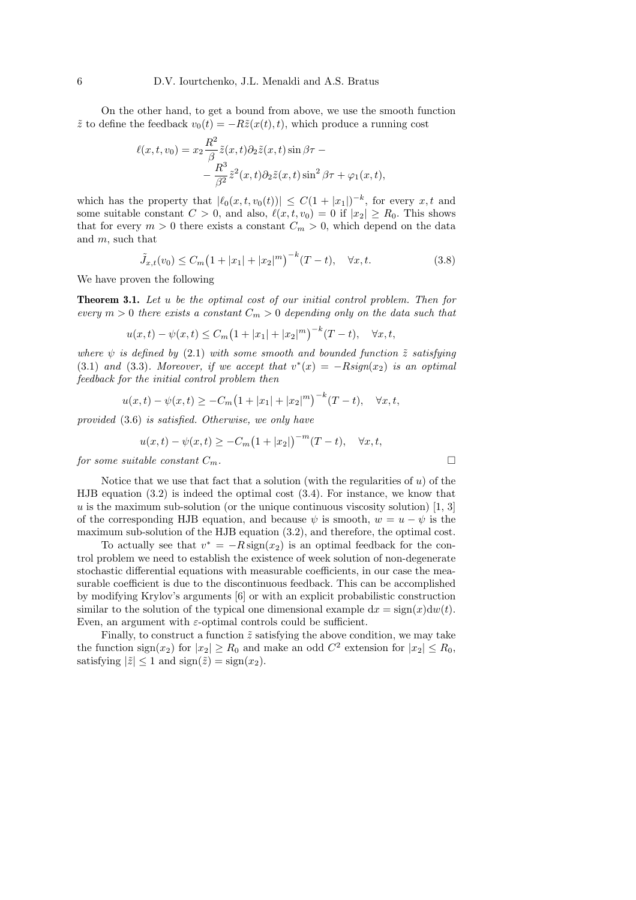On the other hand, to get a bound from above, we use the smooth function  $\tilde{z}$  to define the feedback  $v_0(t) = -R\tilde{z}(x(t), t)$ , which produce a running cost

$$
\ell(x, t, v_0) = x_2 \frac{R^2}{\beta} \tilde{z}(x, t) \partial_2 \tilde{z}(x, t) \sin \beta \tau -
$$

$$
- \frac{R^3}{\beta^2} \tilde{z}^2(x, t) \partial_2 \tilde{z}(x, t) \sin^2 \beta \tau + \varphi_1(x, t),
$$

which has the property that  $|\ell_0(x, t, v_0(t))| \leq C(1+|x_1|)^{-k}$ , for every  $x, t$  and some suitable constant  $C > 0$ , and also,  $\ell(x, t, v_0) = 0$  if  $|x_2| \ge R_0$ . This shows that for every  $m > 0$  there exists a constant  $C_m > 0$ , which depend on the data and m, such that

$$
\tilde{J}_{x,t}(v_0) \le C_m \left(1 + |x_1| + |x_2|^m\right)^{-k} (T - t), \quad \forall x, t.
$$
\n(3.8)

We have proven the following

Theorem 3.1. Let u be the optimal cost of our initial control problem. Then for every  $m > 0$  there exists a constant  $C_m > 0$  depending only on the data such that

$$
u(x,t) - \psi(x,t) \le C_m \left(1 + |x_1| + |x_2|^m\right)^{-k} (T - t), \quad \forall x, t,
$$

where  $\psi$  is defined by (2.1) with some smooth and bounded function  $\tilde{z}$  satisfying (3.1) and (3.3). Moreover, if we accept that  $v^*(x) = -Rsign(x_2)$  is an optimal feedback for the initial control problem then

$$
u(x,t) - \psi(x,t) \ge -C_m \left(1 + |x_1| + |x_2|^m\right)^{-k} (T-t), \quad \forall x, t,
$$

provided (3.6) is satisfied. Otherwise, we only have

$$
u(x,t) - \psi(x,t) \ge -C_m (1+|x_2|)^{-m} (T-t), \quad \forall x, t,
$$

for some suitable constant  $C_m$ .

Notice that we use that fact that a solution (with the regularities of  $u$ ) of the HJB equation (3.2) is indeed the optimal cost (3.4). For instance, we know that u is the maximum sub-solution (or the unique continuous viscosity solution)  $[1, 3]$ of the corresponding HJB equation, and because  $\psi$  is smooth,  $w = u - \psi$  is the maximum sub-solution of the HJB equation (3.2), and therefore, the optimal cost.

To actually see that  $v^* = -R \operatorname{sign}(x_2)$  is an optimal feedback for the control problem we need to establish the existence of week solution of non-degenerate stochastic differential equations with measurable coefficients, in our case the measurable coefficient is due to the discontinuous feedback. This can be accomplished by modifying Krylov's arguments [6] or with an explicit probabilistic construction similar to the solution of the typical one dimensional example  $dx = sign(x)dw(t)$ . Even, an argument with  $\varepsilon$ -optimal controls could be sufficient.

Finally, to construct a function  $\tilde{z}$  satisfying the above condition, we may take the function  $\text{sign}(x_2)$  for  $|x_2| \ge R_0$  and make an odd  $C^2$  extension for  $|x_2| \le R_0$ , satisfying  $|\tilde{z}| \leq 1$  and  $sign(\tilde{z}) = sign(x_2)$ .